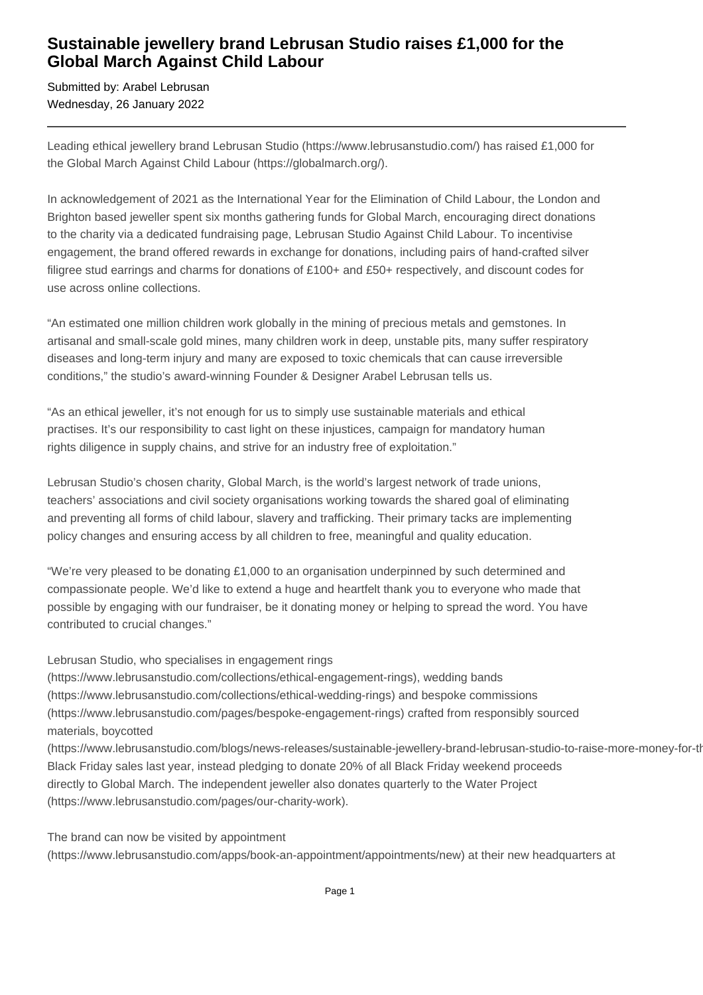## **Sustainable jewellery brand Lebrusan Studio raises £1,000 for the Global March Against Child Labour**

Submitted by: Arabel Lebrusan Wednesday, 26 January 2022

Leading ethical jewellery brand Lebrusan Studio (https://www.lebrusanstudio.com/) has raised £1,000 for the Global March Against Child Labour (https://globalmarch.org/).

In acknowledgement of 2021 as the International Year for the Elimination of Child Labour, the London and Brighton based jeweller spent six months gathering funds for Global March, encouraging direct donations to the charity via a dedicated fundraising page, Lebrusan Studio Against Child Labour. To incentivise engagement, the brand offered rewards in exchange for donations, including pairs of hand-crafted silver filigree stud earrings and charms for donations of £100+ and £50+ respectively, and discount codes for use across online collections.

"An estimated one million children work globally in the mining of precious metals and gemstones. In artisanal and small-scale gold mines, many children work in deep, unstable pits, many suffer respiratory diseases and long-term injury and many are exposed to toxic chemicals that can cause irreversible conditions," the studio's award-winning Founder & Designer Arabel Lebrusan tells us.

"As an ethical jeweller, it's not enough for us to simply use sustainable materials and ethical practises. It's our responsibility to cast light on these injustices, campaign for mandatory human rights diligence in supply chains, and strive for an industry free of exploitation."

Lebrusan Studio's chosen charity, Global March, is the world's largest network of trade unions, teachers' associations and civil society organisations working towards the shared goal of eliminating and preventing all forms of child labour, slavery and trafficking. Their primary tacks are implementing policy changes and ensuring access by all children to free, meaningful and quality education.

"We're very pleased to be donating £1,000 to an organisation underpinned by such determined and compassionate people. We'd like to extend a huge and heartfelt thank you to everyone who made that possible by engaging with our fundraiser, be it donating money or helping to spread the word. You have contributed to crucial changes."

Lebrusan Studio, who specialises in engagement rings

(https://www.lebrusanstudio.com/collections/ethical-engagement-rings), wedding bands (https://www.lebrusanstudio.com/collections/ethical-wedding-rings) and bespoke commissions (https://www.lebrusanstudio.com/pages/bespoke-engagement-rings) crafted from responsibly sourced materials, boycotted

(https://www.lebrusanstudio.com/blogs/news-releases/sustainable-jewellery-brand-lebrusan-studio-to-raise-more-money-for-th Black Friday sales last year, instead pledging to donate 20% of all Black Friday weekend proceeds directly to Global March. The independent jeweller also donates quarterly to the Water Project (https://www.lebrusanstudio.com/pages/our-charity-work).

The brand can now be visited by appointment (https://www.lebrusanstudio.com/apps/book-an-appointment/appointments/new) at their new headquarters at